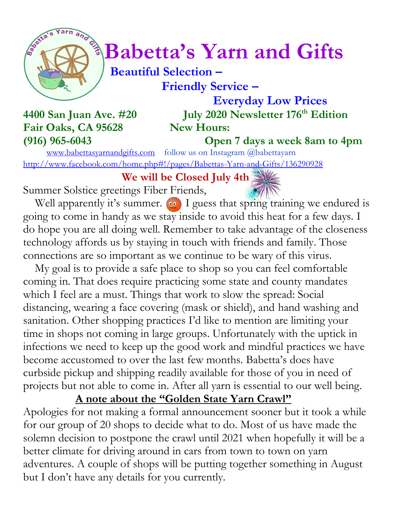

# *Constanting one of a Babetta's Yarn and Gifts*

 **Beautiful Selection – Friendly Service –**

Fair Oaks, CA 95628 New Hours: **(916) 965-6043 Open 7 days a week 8am to 4pm**

 **Everyday Low Prices 4400 San Juan Ave. #20 July 2020 Newsletter 176 th Edition**

[www.babettasyarnandgifts.com](http://www.babettasyarnandgifts.com/) follow us on Instagram @babettayarn <http://www.facebook.com/home.php#!/pages/Babettas-Yarn-and-Gifts/136290928>

 **We will be Closed July 4th**

Summer Solstice greetings Fiber Friends,

Well apparently it's summer.  $\bullet$  I guess that spring training we endured is going to come in handy as we stay inside to avoid this heat for a few days. I do hope you are all doing well. Remember to take advantage of the closeness technology affords us by staying in touch with friends and family. Those connections are so important as we continue to be wary of this virus.

 My goal is to provide a safe place to shop so you can feel comfortable coming in. That does require practicing some state and county mandates which I feel are a must. Things that work to slow the spread: Social distancing, wearing a face covering (mask or shield), and hand washing and sanitation. Other shopping practices I'd like to mention are limiting your time in shops not coming in large groups. Unfortunately with the uptick in infections we need to keep up the good work and mindful practices we have become accustomed to over the last few months. Babetta's does have curbside pickup and shipping readily available for those of you in need of projects but not able to come in. After all yarn is essential to our well being.

**A note about the "Golden State Yarn Crawl"**

Apologies for not making a formal announcement sooner but it took a while for our group of 20 shops to decide what to do. Most of us have made the solemn decision to postpone the crawl until 2021 when hopefully it will be a better climate for driving around in cars from town to town on yarn adventures. A couple of shops will be putting together something in August but I don't have any details for you currently.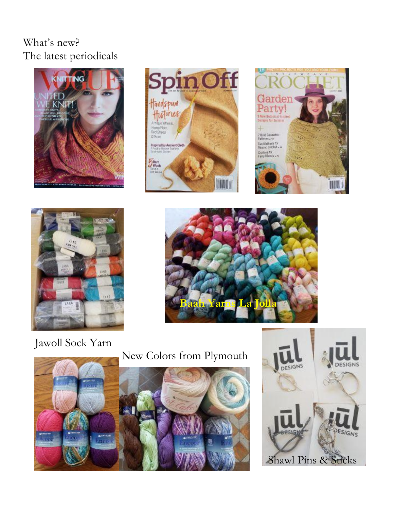## What's new? The latest periodicals











Jawoll Sock Yarn

## New Colors from Plymouth



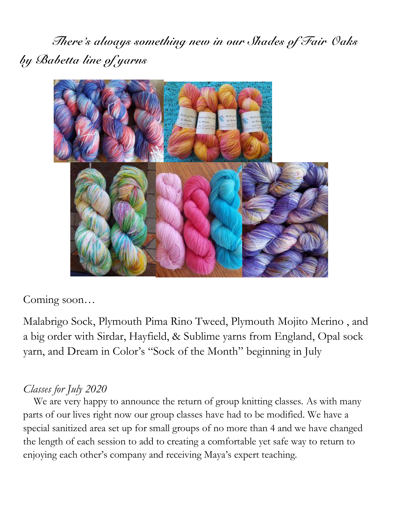*There's always something new in our Shades of Fair Oaks by Babetta line of yarns*



Coming soon…

Malabrigo Sock, Plymouth Pima Rino Tweed, Plymouth Mojito Merino , and a big order with Sirdar, Hayfield, & Sublime yarns from England, Opal sock yarn, and Dream in Color's "Sock of the Month" beginning in July

#### *Classes for July 2020*

 We are very happy to announce the return of group knitting classes. As with many parts of our lives right now our group classes have had to be modified. We have a special sanitized area set up for small groups of no more than 4 and we have changed the length of each session to add to creating a comfortable yet safe way to return to enjoying each other's company and receiving Maya's expert teaching.